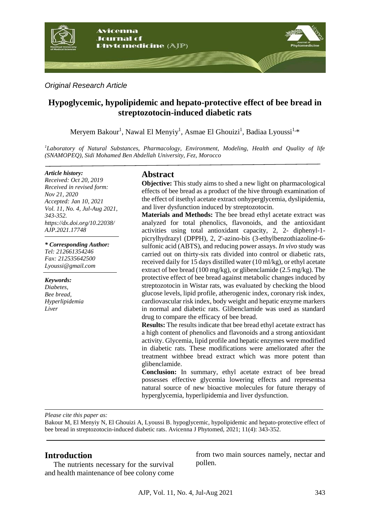

### *Original Research Article*

# **Hypoglycemic, hypolipidemic and hepato-protective effect of bee bread in streptozotocin-induced diabetic rats**

Meryem Bakour<sup>1</sup>, Nawal El Menyiy<sup>1</sup>, Asmae El Ghouizi<sup>1</sup>, Badiaa Lyoussi<sup>1,\*</sup>

*<sup>1</sup>Laboratory of Natural Substances, Pharmacology, Environment, Modeling, Health and Quality of life (SNAMOPEQ), Sidi Mohamed Ben Abdellah University, Fez, Morocco*

#### *Article history:*

*Received: Oct 20, 2019 Received in revised form: Nov 21, 2020 Accepted: Jan 10, 2021 Vol. 11, No. 4, Jul-Aug 2021, 343-352. https://dx.doi.org/10.22038/ AJP.2021.17748*

*\* Corresponding Author: Tel: 212661354246 Fax: 212535642500 Lyoussi@gmail.com*

*Keywords: Diabetes, Bee bread, Hyperlipidemia Liver*

## **Abstract**

**Objective:** This study aims to shed a new light on pharmacological effects of bee bread as a product of the hive through examination of the effect of itsethyl acetate extract onhyperglycemia, dyslipidemia, and liver dysfunction induced by streptozotocin.

**Materials and Methods:** The bee bread ethyl acetate extract was analyzed for total phenolics, flavonoids, and the antioxidant activities using total antioxidant capacity, 2, 2- diphenyl-1 picrylhydrazyl (DPPH), 2, 2'-azino-bis (3-ethylbenzothiazoline-6 sulfonic acid (ABTS), and reducing power assays. *In vivo* study was carried out on thirty-six rats divided into control or diabetic rats, received daily for 15 days distilled water (10 ml/kg), or ethyl acetate extract of bee bread (100 mg/kg), or glibenclamide (2.5 mg/kg). The protective effect of bee bread against metabolic changes induced by streptozotocin in Wistar rats, was evaluated by checking the blood glucose levels, lipid profile, atherogenic index, coronary risk index, cardiovascular risk index, body weight and hepatic enzyme markers in normal and diabetic rats. Glibenclamide was used as standard drug to compare the efficacy of bee bread.

**Results:** The results indicate that bee bread ethyl acetate extract has a high content of phenolics and flavonoids and a strong antioxidant activity. Glycemia, lipid profile and hepatic enzymes were modified in diabetic rats. These modifications were ameliorated after the treatment withbee bread extract which was more potent than glibenclamide.

**Conclusion:** In summary, ethyl acetate extract of bee bread possesses effective glycemia lowering effects and representsa natural source of new bioactive molecules for future therapy of hyperglycemia, hyperlipidemia and liver dysfunction.

*Please cite this paper as:* 

Bakour M, El Menyiy N, El Ghouizi A, Lyoussi B. hypoglycemic, hypolipidemic and hepato-protective effect of bee bread in streptozotocin-induced diabetic rats. Avicenna J Phytomed, 2021; 11(4): 343-352.

## **Introduction**

The nutrients necessary for the survival and health maintenance of bee colony come

from two main sources namely, nectar and pollen.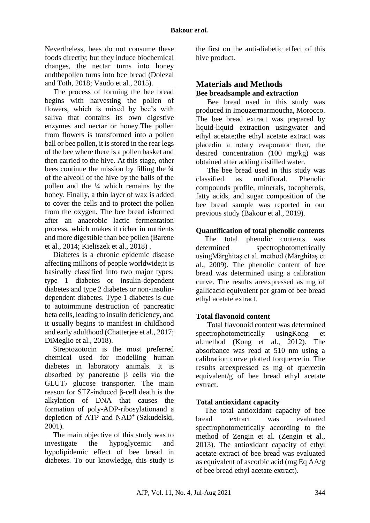Nevertheless, bees do not consume these foods directly; but they induce biochemical changes, the nectar turns into honey andthepollen turns into bee bread (Dolezal and Toth, 2018; Vaudo et al., 2015).

The process of forming the bee bread begins with harvesting the pollen of flowers, which is mixed by bee's with saliva that contains its own digestive enzymes and nectar or honey.The pollen from flowers is transformed into a pollen ball or bee pollen, it is stored in the rear legs of the bee where there is a pollen basket and then carried to the hive. At this stage, other bees continue the mission by filling the  $\frac{3}{4}$ of the alveoli of the hive by the balls of the pollen and the ¼ which remains by the honey. Finally, a thin layer of wax is added to cover the cells and to protect the pollen from the oxygen. The bee bread isformed after an anaerobic lactic fermentation process, which makes it richer in nutrients and more digestible than bee pollen (Barene et al., 2014; Kieliszek et al., 2018) .

Diabetes is a chronic epidemic disease affecting millions of people worldwide;it is basically classified into two major types: type 1 diabetes or insulin-dependent diabetes and type 2 diabetes or non-insulindependent diabetes. Type 1 diabetes is due to autoimmune destruction of pancreatic beta cells, leading to insulin deficiency, and it usually begins to manifest in childhood and early adulthood (Chatterjee et al., 2017; DiMeglio et al., 2018).

Streptozotocin is the most preferred chemical used for modelling human diabetes in laboratory animals. It is absorbed by pancreatic β cells via the GLUT<sup>2</sup> glucose transporter. The main reason for STZ-induced β-cell death is the alkylation of DNA that causes the formation of poly-ADP-ribosylationand a depletion of ATP and NAD<sup>+</sup> (Szkudelski, 2001).

The main objective of this study was to investigate the hypoglycemic and hypolipidemic effect of bee bread in diabetes. To our knowledge, this study is the first on the anti-diabetic effect of this hive product.

# **Materials and Methods Bee breadsample and extraction**

Bee bread used in this study was produced in Imouzermarmoucha, Morocco. The bee bread extract was prepared by liquid-liquid extraction usingwater and ethyl acetate;the ethyl acetate extract was placedin a rotary evaporator then, the desired concentration (100 mg/kg) was obtained after adding distilled water.

The bee bread used in this study was classified as multifloral. Phenolic compounds profile, minerals, tocopherols, fatty acids, and sugar composition of the bee bread sample was reported in our previous study (Bakour et al., 2019).

## **Quantification of total phenolic contents**

The total phenolic contents was determined spectrophotometrically usingMărghitaş et al. method (Mărghitaş et al., 2009). The phenolic content of bee bread was determined using a calibration curve. The results areexpressed as mg of gallicacid equivalent per gram of bee bread ethyl acetate extract.

## **Total flavonoid content**

Total flavonoid content was determined spectrophotometrically usingKong et al.method (Kong et al., 2012). The absorbance was read at 510 nm using a calibration curve plotted forquercetin. The results areexpressed as mg of quercetin equivalent/g of bee bread ethyl acetate extract.

## **Total antioxidant capacity**

The total antioxidant capacity of bee bread extract was evaluated spectrophotometrically according to the method of Zengin et al. (Zengin et al., 2013). The antioxidant capacity of ethyl acetate extract of bee bread was evaluated as equivalent of ascorbic acid (mg Eq AA/g of bee bread ethyl acetate extract).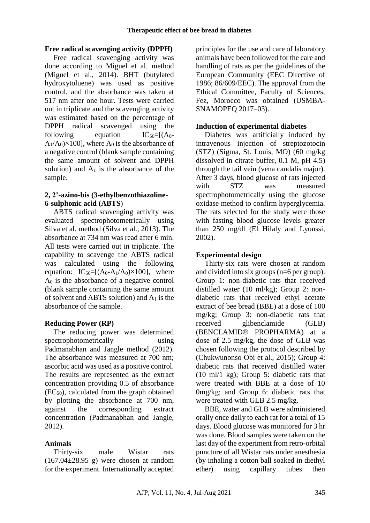#### **Free radical scavenging activity (DPPH)**

Free radical scavenging activity was done according to Miguel et al. method (Miguel et al., 2014). BHT (butylated hydroxytoluene) was used as positive control, and the absorbance was taken at 517 nm after one hour. Tests were carried out in triplicate and the scavenging activity was estimated based on the percentage of DPPH radical scavenged using the following equation IC50=[(A0-  $A_1/A_0 \times 100$ , where  $A_0$  is the absorbance of a negative control (blank sample containing the same amount of solvent and DPPH solution) and  $A_1$  is the absorbance of the sample.

### **2, 2'-azino-bis (3-ethylbenzothiazoline-6-sulphonic acid (ABTS**)

ABTS radical scavenging activity was evaluated spectrophotometrically using Silva et al. method (Silva et al., 2013). The absorbance at 734 nm was read after 6 min. All tests were carried out in triplicate. The capability to scavenge the ABTS radical was calculated using the following equation:  $IC_{50}=[(A_0-A_1/A_0)\times 100]$ , where  $A_0$  is the absorbance of a negative control (blank sample containing the same amount of solvent and ABTS solution) and  $A_1$  is the absorbance of the sample.

#### **Reducing Power (RP)**

The reducing power was determined spectrophotometrically using using Padmanabhan and Jangle method (2012). The absorbance was measured at 700 nm; ascorbic acid was used as a positive control. The results are represented as the extract concentration providing 0.5 of absorbance (EC50), calculated from the graph obtained by plotting the absorbance at 700 nm, against the corresponding extract concentration (Padmanabhan and Jangle, 2012).

#### **Animals**

Thirty-six male Wistar rats (167.04±28.95 g) were chosen at random for the experiment. Internationally accepted principles for the use and care of laboratory animals have been followed for the care and handling of rats as per the guidelines of the European Community (EEC Directive of 1986; 86/609/EEC). The approval from the Ethical Committee, Faculty of Sciences, Fez, Morocco was obtained (USMBA-SNAMOPEQ 2017–03).

#### **Induction of experimental diabetes**

Diabetes was artificially induced by intravenous injection of streptozotocin (STZ) (Sigma, St. Louis, MO) (60 mg/kg dissolved in citrate buffer, 0.1 M, pH 4.5) through the tail vein (vena caudalis major). After 3 days, blood glucose of rats injected with STZ was measured spectrophotometrically using the glucose oxidase method to confirm hyperglycemia. The rats selected for the study were those with fasting blood glucose levels greater than 250 mg/dl (El Hilaly and Lyoussi, 2002).

## **Experimental design**

Thirty-six rats were chosen at random and divided into six groups (n=6 per group). Group 1: non-diabetic rats that received distilled water (10 ml/kg); Group 2: nondiabetic rats that received ethyl acetate extract of bee bread (BBE) at a dose of 100 mg/kg; Group 3: non-diabetic rats that received glibenclamide (GLB) (BENCLAMID® PROPHARMA) at a dose of 2.5 mg/kg, the dose of GLB was chosen following the protocol described by (Chukwunonso Obi et al., 2015); Group 4: diabetic rats that received distilled water (10 ml/1 kg); Group 5: diabetic rats that were treated with BBE at a dose of 10 0mg/kg; and Group 6: diabetic rats that were treated with GLB 2.5 mg/kg.

BBE, water and GLB were administered orally once daily to each rat for a total of 15 days. Blood glucose was monitored for 3 hr was done. Blood samples were taken on the last day of the experiment from retro-orbital puncture of all Wistar rats under anesthesia (by inhaling a cotton ball soaked in diethyl ether) using capillary tubes then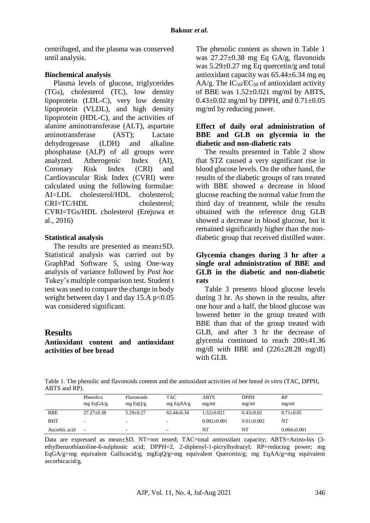centrifuged, and the plasma was conserved until analysis.

## **Biochemical analysis**

Plasma levels of glucose, triglycerides (TGs), cholesterol (TC), low density lipoprotein (LDL-C), very low density lipoprotein (VLDL), and high density lipoprotein (HDL-C), and the activities of alanine aminotransferase (ALT), aspartate aminotransferase (AST); Lactate dehydrogenase (LDH) and alkaline phosphatase (ALP) of all groups were analyzed. Atherogenic Index (AI), Coronary Risk Index (CRI) and Cardiovascular Risk Index (CVRI) were calculated using the following formulae: AI=LDL cholesterol/HDL cholesterol; CRI=TC/HDL cholesterol; CVRI=TGs/HDL cholesterol (Erejuwa et al., 2016)

## **Statistical analysis**

The results are presented as mean±SD. Statistical analysis was carried out by GraphPad Software 5, using One-way analysis of variance followed by *Post hoc* Tukey's multiple comparison test. Student t test was used to compare the change in body weight between day 1 and day 15.A  $p<0.05$ was considered significant.

## **Results**

## **Antioxidant content and antioxidant activities of bee bread**

The phenolic content as shown in Table 1 was 27.27±0.38 mg Eq GA/g, flavonoids was  $5.29 \pm 0.27$  mg Eq quercetin/g and total antioxidant capacity was 65.44±6.34 mg eq AA/g. The  $IC_{50}/EC_{50}$  of antioxidant activity of BBE was  $1.52 \pm 0.021$  mg/ml by ABTS,  $0.43\pm0.02$  mg/ml by DPPH, and  $0.71\pm0.05$ mg/ml by reducing power.

## **Effect of daily oral administration of BBE and GLB on glycemia in the diabetic and non-diabetic rats**

The results presented in Table 2 show that STZ caused a very significant rise in blood glucose levels. On the other hand, the results of the diabetic groups of rats treated with BBE showed a decrease in blood glucose reaching the normal value from the third day of treatment, while the results obtained with the reference drug GLB showed a decrease in blood glucose, but it remained significantly higher than the nondiabetic group that received distilled water.

## **Glycemia changes during 3 hr after a single oral administration of BBE and GLB in the diabetic and non-diabetic rats**

Table 3 presents blood glucose levels during 3 hr. As shown in the results, after one hour and a half, the blood glucose was lowered better in the group treated with BBE than that of the group treated with GLB, and after 3 hr the decrease of glycemia continued to reach 200±41.36 mg/dl with BBE and  $(226\pm 28.28 \text{ mg/dl})$ with GLB.

Table 1. The phenolic and flavonoids content and the antioxidant activities of bee bread *in vitro* (TAC, DPPH, ABTS and RP).

|               | Phenolics<br>mgEqGA/g | Flavonoids<br>mgEqQ/g | <b>TAC</b><br>mgEqAA/g | <b>ABTS</b><br>mg/ml | <b>DPPH</b><br>mg/ml | RP<br>mg/ml     |
|---------------|-----------------------|-----------------------|------------------------|----------------------|----------------------|-----------------|
| <b>BBE</b>    | $27.27 \pm 0.38$      | $5.29 \pm 0.27$       | $65.44 + 6.34$         | $1.52+0.021$         | $0.43 + 0.02$        | $0.71 \pm 0.05$ |
| <b>BHT</b>    | ۰                     |                       |                        | $0.002+0.001$        | $0.01 + 0.002$       | NT              |
| Ascorbic acid | $\sim$                |                       |                        | NT                   | NT                   | $0.004 + 0.001$ |

Data are expressed as mean±SD. NT=not tested; TAC=total antioxidant capacity; ABTS=Azino-bis (3 ethylbenzothiazoline-6-sulphonic acid; DPPH=2, 2-diphenyl-1-picrylhydrazyl; RP=reducing power; mg EqGA/g=mg equivalent Gallicacid/g; mgEqQ/g=mg equivalent Quercetin/g; mg EqAA/g=mg equivalent ascorbicacid/g.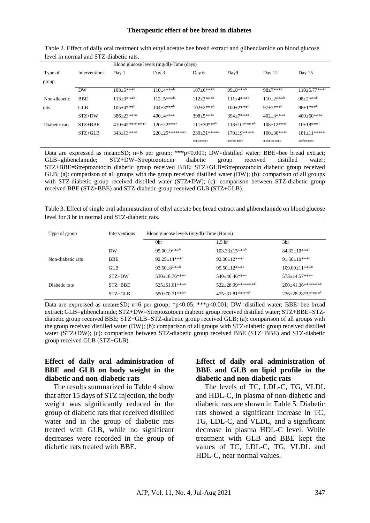#### **Therapeutic effect of bee bread in diabetes**

|               |               | Blood glucose levels (mg/dl)-Time (days) |                |                |                       |                   |                      |
|---------------|---------------|------------------------------------------|----------------|----------------|-----------------------|-------------------|----------------------|
| Type of       | Interventions | Day 1                                    | Day 3          | Day 6          | Day9                  | Day 12            | Day 15               |
| group         |               |                                          |                |                |                       |                   |                      |
|               | DW            | $108 \pm 5***$                           | $110\pm4***$   | $107+6***b$    | $99+8***b$            | $98+7***$         | $110 \pm 5.77$ ***b  |
| Non-diabetic  | <b>BBE</b>    | $113 \pm 3***$                           | $112 \pm 5***$ | $112+2***$     | $111 + 4***$          | $110+2***$        | $98+2***$            |
| rats          | <b>GLB</b>    | $105 \pm 4***$                           | $104 + 3***$   | $102 \pm 2***$ | $100+2***$            | $97+3***b$        | $98+1***^{\text{b}}$ |
|               | $STZ+DW$      | $386 \pm 23$ ****                        | $400+4***$     | $398 + 5***$   | $394 + 7***$          | $402 + 3***$      | $409+60***$          |
| Diabetic rats | $STZ + BBE$   | $410\pm45******$                         | $120+22***$    | $111+30***b$   | $118 \pm 10^{*a***b}$ | $108 \pm 12***$   | $10+18***$           |
|               | $STZ + GLB$   | $343 \pm 13***$                          | $220+25******$ | $230+31***$    | $179 \pm 19***$       | $160 \pm 36$ **** | $181 \pm 11***$      |
|               |               |                                          |                | ** $b$ *** * 0 | ** b*** c             | *** b****         | ** b*** c            |

Table 2. Effect of daily oral treatment with ethyl acetate bee bread extract and glibenclamide on blood glucose level in normal and STZ-diabetic rats.

Data are expressed as mean±SD; n=6 per group; \*\*\*p<0.001; DW=distilled water; BBE=bee bread extract; GLB=glibenclamide; STZ+DW=Streptozotocin diabetic group received distilled water; STZ+BBE=Streptozotocin diabetic group received BBE; STZ+GLB=Streptozotocin diabetic group received GLB; (a): comparison of all groups with the group received distilled water (DW); (b): comparison of all groups with STZ-diabetic group received distilled water (STZ+DW); (c): comparison between STZ-diabetic group received BBE (STZ+BBE) and STZ-diabetic group received GLB (STZ+GLB).

Table 3. Effect of single oral administration of ethyl acetate bee bread extract and glibenclamide on blood glucose level for 3 hr in normal and STZ-diabetic rats.

| Type of group     | <b>Interventions</b> | Blood glucose levels (mg/dl)-Time (Hours) |                        |                          |  |
|-------------------|----------------------|-------------------------------------------|------------------------|--------------------------|--|
|                   |                      | 0hr                                       | 1.5 <sub>hr</sub>      | 3hr                      |  |
|                   | DW                   | $95.00+9***$                              | $103.33 \pm 15***$     | $84.33 \pm 10^{***}$     |  |
| Non-diabetic rats | <b>BBE</b>           | $92.25 \pm 14***$                         | $92.00+12***$          | $91.50\pm10***$          |  |
|                   | <b>GLB</b>           | 93.50 $\pm$ 8***b                         | $95.50 + 12***$        | $109.00 \pm 11***$       |  |
|                   | $STZ+DW$             | $530 \pm 16.76***$                        | $540 \pm 46.46$ ****   | $573 \pm 14.57***$       |  |
| Diabetic rats     | $STZ + BBE$          | $525 \pm 51.61***$                        | 522±28.99********      | $200 \pm 41.36$ *******b |  |
|                   | $STZ + GLB$          | $550 \pm 70.71***$                        | $475 \pm 31.81$ *****b | 226±28.28********        |  |

Data are expressed as mean $\pm$ SD; n=6 per group; \*p<0.05; \*\*\*p<0.001; DW=distilled water; BBE=bee bread extract; GLB=glibenclamide; STZ+DW=Streptozotocin diabetic group received distilled water; STZ+BBE=STZdiabetic group received BBE; STZ+GLB=STZ-diabetic group received GLB; (a): comparison of all groups with the group received distilled water (DW); (b): comparison of all groups with STZ-diabetic group received distilled water (STZ+DW); (c): comparison between STZ-diabetic group received BBE (STZ+BBE) and STZ-diabetic group received GLB (STZ+GLB).

#### **Effect of daily oral administration of BBE and GLB on body weight in the diabetic and non-diabetic rats**

The results summarized in Table 4 show that after 15 days of STZ injection, the body weight was significantly reduced in the group of diabetic rats that received distilled water and in the group of diabetic rats treated with GLB, while no significant decreases were recorded in the group of diabetic rats treated with BBE.

### **Effect of daily oral administration of BBE and GLB on lipid profile in the diabetic and non-diabetic rats**

The levels of TC, LDL-C, TG, VLDL and HDL-C, in plasma of non-diabetic and diabetic rats are shown in Table 5. Diabetic rats showed a significant increase in TC, TG, LDL-C, and VLDL, and a significant decrease in plasma HDL-C level. While treatment with GLB and BBE kept the values of TC, LDL-C, TG, VLDL and HDL-C, near normal values.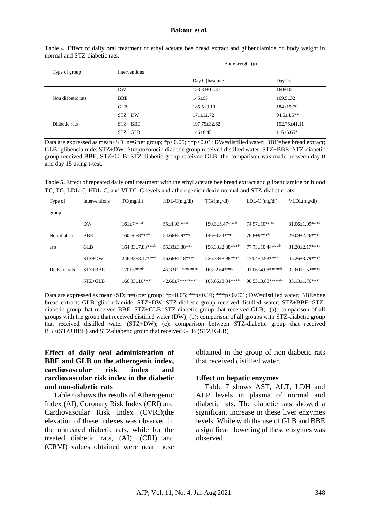#### **Bakour** *et al.*

|                   | Body weight (g) |                    |                    |  |  |
|-------------------|-----------------|--------------------|--------------------|--|--|
| Type of group     | Interventions   |                    |                    |  |  |
|                   |                 | Day 0 (baseline)   | Day 15             |  |  |
|                   | DW              | $153.33 \pm 11.37$ | $160 \pm 10$       |  |  |
| Non diabetic rats | <b>BBE</b>      | $145+95$           | $169.5 \pm 32$     |  |  |
|                   | <b>GLB</b>      | $185.5+9.19$       | $184 \pm 19.79$    |  |  |
|                   | $STZ+DW$        | $171+12.72$        | $94.5 + 4.5**$     |  |  |
| Diabetic rats     | STZ+BBE         | $197.75 \pm 32.62$ | $152.75 \pm 41.11$ |  |  |
|                   | $STZ+GLB$       | $146 \pm 8.45$     | $116 \pm 5.65*$    |  |  |

Table 4. Effect of daily oral treatment of ethyl acetate bee bread extract and glibenclamide on body weight in normal and STZ-diabetic rats.

Data are expressed as mean±SD; n=6 per group; \*p<0.05; \*\*p<0.01; DW=distilled water; BBE=bee bread extract; GLB=glibenclamide; STZ+DW=Streptozotocin diabetic group received distilled water; STZ+BBE=STZ-diabetic group received BBE; STZ+GLB=STZ-diabetic group received GLB; the comparison was made between day 0 and day 15 using t-test.

Table 5. Effect of repeated daily oral treatment with the ethyl acetate bee bread extract and glibenclamide on blood TC, TG, LDL-C, HDL-C, and VLDL-C levels and atherogenicindexin normal and STZ-diabetic rats.

| Interventions | TC(mg/dl)            | $HDL-C(mg/dl)$         | TGs(mg/dl)           | $LDL-C$ (mg/dl)        | VLDL(mg/dl)           |
|---------------|----------------------|------------------------|----------------------|------------------------|-----------------------|
|               |                      |                        |                      |                        |                       |
| DW            | $161\pm7***$         | $55+4.93***$           | $150.3 \pm 5.47***$  | $74.97 \pm 10***$      | $31.06 \pm 1.09***$   |
| <b>BBE</b>    | $160.66\pm8***$      | $54.66 \pm 2.9$ ***b   | $146 \pm 3.34$ ***b  | $76.8+9***b$           | $29.09 \pm 2.46***$   |
| <b>GLB</b>    | $164.33 \pm 7.88***$ | $55.33 \pm 3.38$ **b   | $156.33 \pm 2.88***$ | $77.73 \pm 10.44***$   | $31.20 \pm 2.17***$   |
| $STZ+DW$      | $246.33 \pm 3.17***$ | 26.66±2.18****         | 226.33±8.98****      | $174.4 + 4.93$ ****    | $45.26 \pm 3.79$ **** |
| $STZ + BBE$   | $170+5***$           | $46.33 \pm 2.72$ ***** | $163+2.64***$        | $91.06 + 4.08$ *****   | $32.60 \pm 1.52***$   |
| $STZ + GLB$   | $166.33 \pm 10***$   | $42.66 \pm 7******$    | $165.66 + 3.84***$   | $90.53 \pm 3.80$ ***** | $33.13 + 1.76***$     |
|               |                      |                        |                      |                        |                       |

Data are expressed as mean±SD; n=6 per group; \*p<0.05; \*\*p<0.01; \*\*\*p<0.001; DW=distilled water; BBE=bee bread extract; GLB=glibenclamide; STZ+DW=STZ-diabetic group received distilled water; STZ+BBE=STZdiabetic group that received BBE; STZ+GLB=STZ-diabetic group that received GLB; (a): comparison of all groups with the group that received distilled water (DW); (b): comparison of all groups with STZ-diabetic group that received distilled water (STZ+DW); (c): comparison between STZ-diabetic group that received BBE(STZ+BBE) and STZ-diabetic group that received GLB (STZ+GLB)

## **Effect of daily oral administration of BBE and GLB on the atherogenic index, cardiovascular risk index and cardiovascular risk index in the diabetic and non-diabetic rats**

Table 6 shows the results of Atherogenic Index (AI), Coronary Risk Index (CRI) and Cardiovascular Risk Index (CVRI);the elevation of these indexes was observed in the untreated diabetic rats, while for the treated diabetic rats, (AI), (CRI) and (CRVI) values obtained were near those obtained in the group of non-diabetic rats that received distilled water.

#### **Effect on hepatic enzymes**

Table 7 shows AST, ALT, LDH and ALP levels in plasma of normal and diabetic rats. The diabetic rats showed a significant increase in these liver enzymes levels. While with the use of GLB and BBE a significant lowering of these enzymes was observed.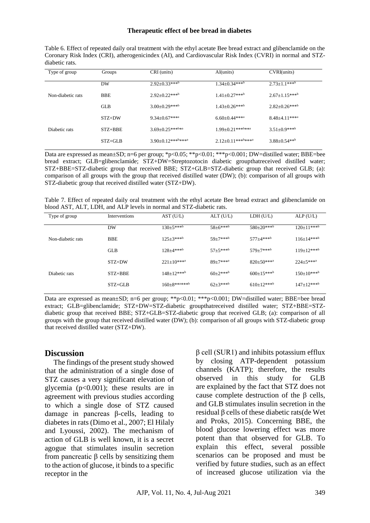#### **Therapeutic effect of bee bread in diabetes**

| Table 6. Effect of repeated daily oral treatment with the ethyl acetate Bee bread extract and glibenclamide on the |
|--------------------------------------------------------------------------------------------------------------------|
| Coronary Risk Index (CRI), atherogenicindex (AI), and Cardiovascular Risk Index (CVRI) in normal and STZ-          |
| diabetic rats.                                                                                                     |

| Type of group     | Groups      | CRI (units)              | AI(units)               | CVRI(units)         |
|-------------------|-------------|--------------------------|-------------------------|---------------------|
|                   | <b>DW</b>   | $2.92 \pm 0.33***$       | $1.34 \pm 0.34***$      | $2.73 \pm 1.1***$   |
| Non-diabetic rats | <b>BBE</b>  | $2.92 \pm 0.22***$       | $1.41 \pm 0.27***$      | $2.67 \pm 1.15***$  |
|                   | <b>GLB</b>  | $3.00 \pm 0.29***$       | $1.43 \pm 0.26***$      | $2.82 \pm 0.26***$  |
|                   | $STZ+DW$    | $9.34 \pm 0.67***$       | $6.60 \pm 0.44***$      | $8.48 + 4.11$ ****  |
| Diabetic rats     | $STZ + BBE$ | $3.69 \pm 0.25***$       | $1.99 \pm 0.21***$ b**a | $3.51 \pm 0.9***$   |
|                   | $STZ + GLB$ | $3.90 \pm 0.12***$ b***a | $2.12 \pm 0.11***$      | $3.88 \pm 0.54$ **b |

Data are expressed as mean±SD; n=6 per group; \*p<0.05; \*\*p<0.01; \*\*\*p<0.001; DW=distilled water; BBE=bee bread extract; GLB=glibenclamide; STZ+DW=Streptozotocin diabetic groupthatreceived distilled water; STZ+BBE=STZ-diabetic group that received BBE; STZ+GLB=STZ-diabetic group that received GLB; (a): comparison of all groups with the group that received distilled water (DW); (b): comparison of all groups with STZ-diabetic group that received distilled water (STZ+DW).

Table 7. Effect of repeated daily oral treatment with the ethyl acetate Bee bread extract and glibenclamide on blood AST, ALT, LDH, and ALP levels in normal and STZ-diabetic rats.

| Type of group     | <b>Interventions</b> | AST (U/L)           | ALT(U/L)      | LDH (U/L)     | ALP(U/L)        |
|-------------------|----------------------|---------------------|---------------|---------------|-----------------|
|                   | DW                   | $130 \pm 5***$      | $58 \pm 6***$ | $580+20***$   | $120 \pm 11***$ |
| Non-diabetic rats | <b>BBE</b>           | $125 + 3***$        | $59+7***$     | $577+4***$    | $116+14***b$    |
|                   | <b>GLB</b>           | $128 + 4***$        | $57 \pm 5***$ | $579+7***$    | $119+12***$     |
|                   | $STZ+DW$             | $221 \pm 10^{***}$  | $89 + 7$ **** | $820+50***$   | $224 + 5***$    |
| Diabetic rats     | $STZ + BBE$          | $148+12***$         | $60+2***$     | $600+15***$   | $150+10***$     |
|                   | $STZ + GLB$          | $160 \pm 8$ ******b | $62 \pm 3***$ | $610\pm12***$ | $147 \pm 12***$ |
|                   |                      |                     |               |               |                 |

Data are expressed as mean $\pm$ SD; n=6 per group; \*\*p<0.01; \*\*\*p<0.001; DW=distilled water; BBE=bee bread extract; GLB=glibenclamide; STZ+DW=STZ-diabetic groupthatreceived distilled water; STZ+BBE=STZdiabetic group that received BBE; STZ+GLB=STZ-diabetic group that received GLB; (a): comparison of all groups with the group that received distilled water (DW); (b): comparison of all groups with STZ-diabetic group that received distilled water (STZ+DW).

#### **Discussion**

The findings of the present study showed that the administration of a single dose of STZ causes a very significant elevation of glycemia  $(p<0.001)$ ; these results are in agreement with previous studies according to which a single dose of STZ caused damage in pancreas β-cells, leading to diabetes in rats (Dimo et al., 2007; El Hilaly and Lyoussi, 2002). The mechanism of action of GLB is well known, it is a secret agogue that stimulates insulin secretion from pancreatic β cells by sensitizing them to the action of glucose, it binds to a specific receptor in the

 $β$  cell (SUR1) and inhibits potassium efflux by closing ATP-dependent potassium channels (KATP); therefore, the results observed in this study for GLB are explained by the fact that STZ does not cause complete destruction of the β cells, and GLB stimulates insulin secretion in the residual β cells of these diabetic rats(de Wet and Proks, 2015). Concerning BBE, the blood glucose lowering effect was more potent than that observed for GLB. To explain this effect, several possible scenarios can be proposed and must be verified by future studies, such as an effect of increased glucose utilization via the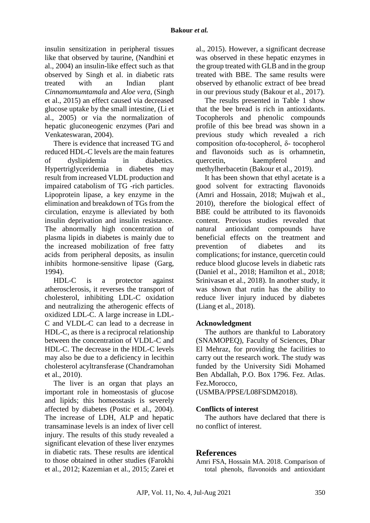insulin sensitization in peripheral tissues like that observed by taurine, (Nandhini et al., 2004) an insulin-like effect such as that observed by Singh et al. in diabetic rats treated with an Indian plant *Cinnamomumtamala* and *Aloe vera,* (Singh et al., 2015) an effect caused via decreased glucose uptake by the small intestine, (Li et al., 2005) or via the normalization of hepatic gluconeogenic enzymes (Pari and Venkateswaran, 2004).

There is evidence that increased TG and reduced HDL-C levels are the main features of dyslipidemia in diabetics. Hypertriglyceridemia in diabetes may result from increased VLDL production and impaired catabolism of TG -rich particles. Lipoprotein lipase, a key enzyme in the elimination and breakdown of TGs from the circulation, enzyme is alleviated by both insulin deprivation and insulin resistance. The abnormally high concentration of plasma lipids in diabetes is mainly due to the increased mobilization of free fatty acids from peripheral deposits, as insulin inhibits hormone-sensitive lipase (Garg, 1994).

HDL-C is a protector against atherosclerosis, it reverses the transport of cholesterol, inhibiting LDL-C oxidation and neutralizing the atherogenic effects of oxidized LDL-C. A large increase in LDL-C and VLDL-C can lead to a decrease in HDL-C, as there is a reciprocal relationship between the concentration of VLDL-C and HDL-C. The decrease in the HDL-C levels may also be due to a deficiency in lecithin cholesterol acyltransferase (Chandramohan et al., 2010).

The liver is an organ that plays an important role in homeostasis of glucose and lipids; this homeostasis is severely affected by diabetes (Postic et al., 2004). The increase of LDH, ALP and hepatic transaminase levels is an index of liver cell injury. The results of this study revealed a significant elevation of these liver enzymes in diabetic rats. These results are identical to those obtained in other studies (Farokhi et al., 2012; Kazemian et al., 2015; Zarei et al., 2015). However, a significant decrease was observed in these hepatic enzymes in the group treated with GLB and in the group treated with BBE. The same results were observed by ethanolic extract of bee bread in our previous study (Bakour et al., 2017).

The results presented in Table 1 show that the bee bread is rich in antioxidants. Tocopherols and phenolic compounds profile of this bee bread was shown in a previous study which revealed a rich composition ofα-tocopherol, δ- tocopherol and flavonoids such as is orhamnetin, quercetin, kaempferol and methylherbacetin (Bakour et al., 2019).

It has been shown that ethyl acetate is a good solvent for extracting flavonoids (Amri and Hossain, 2018; Mujwah et al., 2010), therefore the biological effect of BBE could be attributed to its flavonoids content. Previous studies revealed that natural antioxidant compounds have beneficial effects on the treatment and prevention of diabetes and its complications; for instance, quercetin could reduce blood glucose levels in diabetic rats (Daniel et al., 2018; Hamilton et al., 2018; Srinivasan et al., 2018). In another study, it was shown that rutin has the ability to reduce liver injury induced by diabetes (Liang et al., 2018).

#### **Acknowledgment**

The authors are thankful to Laboratory (SNAMOPEQ), Faculty of Sciences, Dhar El Mehraz, for providing the facilities to carry out the research work. The study was funded by the University Sidi Mohamed Ben Abdallah, P.O. Box 1796. Fez. Atlas. Fez.Morocco,

(USMBA/PPSE/L08FSDM2018).

#### **Conflicts of interest**

The authors have declared that there is no conflict of interest.

# **References**

Amri FSA, Hossain MA. 2018. Comparison of total phenols, flavonoids and antioxidant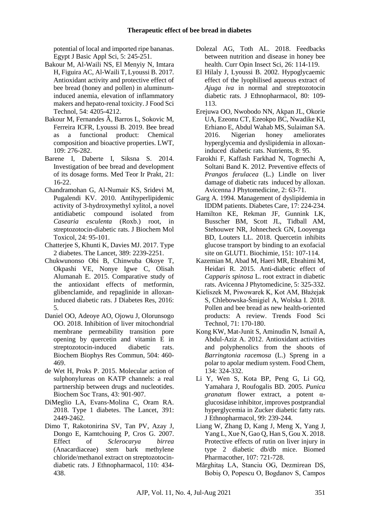potential of local and imported ripe bananas. Egypt J Basic Appl Sci, 5: 245-251.

- Bakour M, Al-Waili NS, El Menyiy N, Imtara H, Figuira AC, Al-Waili T, Lyoussi B. 2017. Antioxidant activity and protective effect of bee bread (honey and pollen) in aluminuminduced anemia, elevation of inflammatory makers and hepato-renal toxicity. J Food Sci Technol, 54: 4205-4212.
- Bakour M, Fernandes Â, Barros L, Sokovic M, Ferreira ICFR, Lyoussi B. 2019. Bee bread as a functional product: Chemical composition and bioactive properties. LWT, 109: 276-282.
- Barene I, Daberte I, Siksna S. 2014. Investigation of bee bread and development of its dosage forms. Med Teor Ir Prakt, 21: 16-22.
- Chandramohan G, Al-Numair KS, Sridevi M, Pugalendi KV. 2010. Antihyperlipidemic activity of 3-hydroxymethyl xylitol, a novel antidiabetic compound isolated from *Casearia esculenta* (Roxb.) root, in streptozotocin-diabetic rats. J Biochem Mol Toxicol, 24: 95-101.
- Chatterjee S, Khunti K, Davies MJ. 2017. Type 2 diabetes. The Lancet, 389: 2239-2251.
- Chukwunonso Obi B, Chinwuba Okoye T, Okpashi VE, Nonye Igwe C, Olisah Alumanah E. 2015. Comparative study of the antioxidant effects of metformin, glibenclamide, and repaglinide in alloxaninduced diabetic rats. J Diabetes Res, 2016: 5.
- Daniel OO, Adeoye AO, Ojowu J, Olorunsogo OO. 2018. Inhibition of liver mitochondrial membrane permeability transition pore opening by quercetin and vitamin E in streptozotocin-induced diabetic rats. Biochem Biophys Res Commun, 504: 460- 469.
- de Wet H, Proks P. 2015. Molecular action of sulphonylureas on KATP channels: a real partnership between drugs and nucleotides. Biochem Soc Trans, 43: 901-907.
- DiMeglio LA, Evans-Molina C, Oram RA. 2018. Type 1 diabetes. The Lancet, 391: 2449-2462.
- Dimo T, Rakotonirina SV, Tan PV, Azay J, Dongo E, Kamtchouing P, Cros G. 2007. Effect of *Sclerocarya birrea* (Anacardiaceae) stem bark methylene chloride/methanol extract on streptozotocindiabetic rats. J Ethnopharmacol, 110: 434- 438.
- Dolezal AG, Toth AL. 2018. Feedbacks between nutrition and disease in honey bee health. Curr Opin Insect Sci, 26: 114-119.
- El Hilaly J, Lyoussi B. 2002. Hypoglycaemic effect of the lyophilised aqueous extract of *Ajuga iva* in normal and streptozotocin diabetic rats. J Ethnopharmacol, 80: 109- 113.
- Erejuwa OO, Nwobodo NN, Akpan JL, Okorie UA, Ezeonu CT, Ezeokpo BC, Nwadike KI, Erhiano E, Abdul Wahab MS, Sulaiman SA. 2016. Nigerian honey ameliorates hyperglycemia and dyslipidemia in alloxaninduced diabetic rats. Nutrients, 8: 95.
- Farokhi F, Kaffash Farkhad N, Togmechi A, Soltani Band K. 2012. Preventive effects of *Prangos ferulacea* (L.) Lindle on liver damage of diabetic rats induced by alloxan. Avicenna J Phytomedicine, 2: 63-71.
- Garg A. 1994. Management of dyslipidemia in IDDM patients. Diabetes Care, 17: 224-234.
- Hamilton KE, Rekman JF, Gunnink LK, Busscher BM, Scott JL, Tidball AM, Stehouwer NR, Johnecheck GN, Looyenga BD, Louters LL. 2018. Quercetin inhibits glucose transport by binding to an exofacial site on GLUT1. Biochimie, 151: 107-114.
- Kazemian M, Abad M, Haeri MR, Ebrahimi M, Heidari R. 2015. Anti-diabetic effect of *Capparis spinosa* L. root extract in diabetic rats. Avicenna J Phytomedicine, 5: 325-332.
- Kieliszek M, Piwowarek K, Kot AM, Błażejak S, Chlebowska-Śmigiel A, Wolska I. 2018. Pollen and bee bread as new health-oriented products: A review. Trends Food Sci Technol, 71: 170-180.
- Kong KW, Mat-Junit S, Aminudin N, Ismail A, Abdul-Aziz A. 2012. Antioxidant activities and polyphenolics from the shoots of *Barringtonia racemosa* (L.) Spreng in a polar to apolar medium system. Food Chem, 134: 324-332.
- Li Y, Wen S, Kota BP, Peng G, Li GQ, Yamahara J, Roufogalis BD. 2005. *Punica granatum* flower extract, a potent αglucosidase inhibitor, improves postprandial hyperglycemia in Zucker diabetic fatty rats. J Ethnopharmacol, 99: 239-244.
- Liang W, Zhang D, Kang J, Meng X, Yang J, Yang L, Xue N, Gao Q, Han S, Gou X. 2018. Protective effects of rutin on liver injury in type 2 diabetic db/db mice. Biomed Pharmacother, 107: 721-728.
- Mărghitaş LA, Stanciu OG, Dezmirean DS, Bobiş O, Popescu O, Bogdanov S, Campos